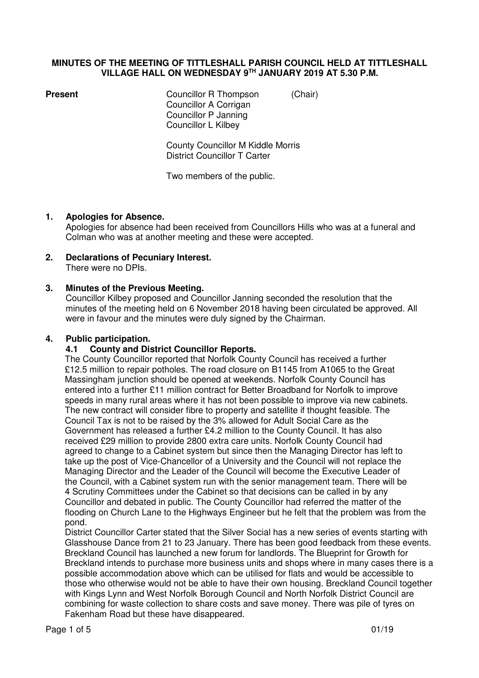#### **MINUTES OF THE MEETING OF TITTLESHALL PARISH COUNCIL HELD AT TITTLESHALL VILLAGE HALL ON WEDNESDAY 9TH JANUARY 2019 AT 5.30 P.M.**

**Present Councillor R Thompson** *(Chair)*  Councillor A Corrigan Councillor P Janning Councillor L Kilbey

> County Councillor M Kiddle Morris District Councillor T Carter

Two members of the public.

#### **1. Apologies for Absence.**

Apologies for absence had been received from Councillors Hills who was at a funeral and Colman who was at another meeting and these were accepted.

# **2. Declarations of Pecuniary Interest.**

There were no DPIs.

#### **3. Minutes of the Previous Meeting.**

Councillor Kilbey proposed and Councillor Janning seconded the resolution that the minutes of the meeting held on 6 November 2018 having been circulated be approved. All were in favour and the minutes were duly signed by the Chairman.

#### **4. Public participation.**

#### **4.1 County and District Councillor Reports.**

 The County Councillor reported that Norfolk County Council has received a further £12.5 million to repair potholes. The road closure on B1145 from A1065 to the Great Massingham junction should be opened at weekends. Norfolk County Council has entered into a further £11 million contract for Better Broadband for Norfolk to improve speeds in many rural areas where it has not been possible to improve via new cabinets. The new contract will consider fibre to property and satellite if thought feasible. The Council Tax is not to be raised by the 3% allowed for Adult Social Care as the Government has released a further £4.2 million to the County Council. It has also received £29 million to provide 2800 extra care units. Norfolk County Council had agreed to change to a Cabinet system but since then the Managing Director has left to take up the post of Vice-Chancellor of a University and the Council will not replace the Managing Director and the Leader of the Council will become the Executive Leader of the Council, with a Cabinet system run with the senior management team. There will be 4 Scrutiny Committees under the Cabinet so that decisions can be called in by any Councillor and debated in public. The County Councillor had referred the matter of the flooding on Church Lane to the Highways Engineer but he felt that the problem was from the pond.

 District Councillor Carter stated that the Silver Social has a new series of events starting with Glasshouse Dance from 21 to 23 January. There has been good feedback from these events. Breckland Council has launched a new forum for landlords. The Blueprint for Growth for Breckland intends to purchase more business units and shops where in many cases there is a possible accommodation above which can be utilised for flats and would be accessible to those who otherwise would not be able to have their own housing. Breckland Council together with Kings Lynn and West Norfolk Borough Council and North Norfolk District Council are combining for waste collection to share costs and save money. There was pile of tyres on Fakenham Road but these have disappeared.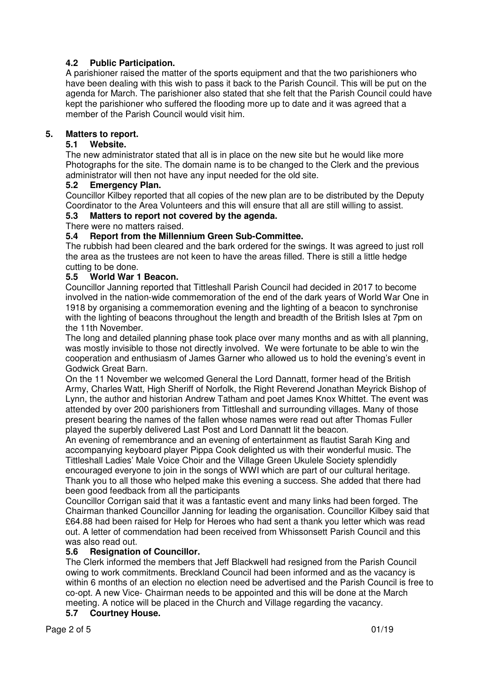# **4.2 Public Participation.**

A parishioner raised the matter of the sports equipment and that the two parishioners who have been dealing with this wish to pass it back to the Parish Council. This will be put on the agenda for March. The parishioner also stated that she felt that the Parish Council could have kept the parishioner who suffered the flooding more up to date and it was agreed that a member of the Parish Council would visit him.

# **5. Matters to report.**

### **5.1 Website.**

The new administrator stated that all is in place on the new site but he would like more Photographs for the site. The domain name is to be changed to the Clerk and the previous administrator will then not have any input needed for the old site.

# **5.2 Emergency Plan.**

Councillor Kilbey reported that all copies of the new plan are to be distributed by the Deputy Coordinator to the Area Volunteers and this will ensure that all are still willing to assist.

#### **5.3 Matters to report not covered by the agenda.**

There were no matters raised.

# **5.4 Report from the Millennium Green Sub-Committee.**

The rubbish had been cleared and the bark ordered for the swings. It was agreed to just roll the area as the trustees are not keen to have the areas filled. There is still a little hedge cutting to be done.

# **5.5 World War 1 Beacon.**

Councillor Janning reported that Tittleshall Parish Council had decided in 2017 to become involved in the nation-wide commemoration of the end of the dark years of World War One in 1918 by organising a commemoration evening and the lighting of a beacon to synchronise with the lighting of beacons throughout the length and breadth of the British Isles at 7pm on the 11th November.

The long and detailed planning phase took place over many months and as with all planning, was mostly invisible to those not directly involved. We were fortunate to be able to win the cooperation and enthusiasm of James Garner who allowed us to hold the evening's event in Godwick Great Barn.

On the 11 November we welcomed General the Lord Dannatt, former head of the British Army, Charles Watt, High Sheriff of Norfolk, the Right Reverend Jonathan Meyrick Bishop of Lynn, the author and historian Andrew Tatham and poet James Knox Whittet. The event was attended by over 200 parishioners from Tittleshall and surrounding villages. Many of those present bearing the names of the fallen whose names were read out after Thomas Fuller played the superbly delivered Last Post and Lord Dannatt lit the beacon.

An evening of remembrance and an evening of entertainment as flautist Sarah King and accompanying keyboard player Pippa Cook delighted us with their wonderful music. The Tittleshall Ladies' Male Voice Choir and the Village Green Ukulele Society splendidly encouraged everyone to join in the songs of WWI which are part of our cultural heritage. Thank you to all those who helped make this evening a success. She added that there had been good feedback from all the participants

Councillor Corrigan said that it was a fantastic event and many links had been forged. The Chairman thanked Councillor Janning for leading the organisation. Councillor Kilbey said that £64.88 had been raised for Help for Heroes who had sent a thank you letter which was read out. A letter of commendation had been received from Whissonsett Parish Council and this was also read out.

# **5.6 Resignation of Councillor.**

The Clerk informed the members that Jeff Blackwell had resigned from the Parish Council owing to work commitments. Breckland Council had been informed and as the vacancy is within 6 months of an election no election need be advertised and the Parish Council is free to co-opt. A new Vice- Chairman needs to be appointed and this will be done at the March meeting. A notice will be placed in the Church and Village regarding the vacancy.

**5.7 Courtney House.**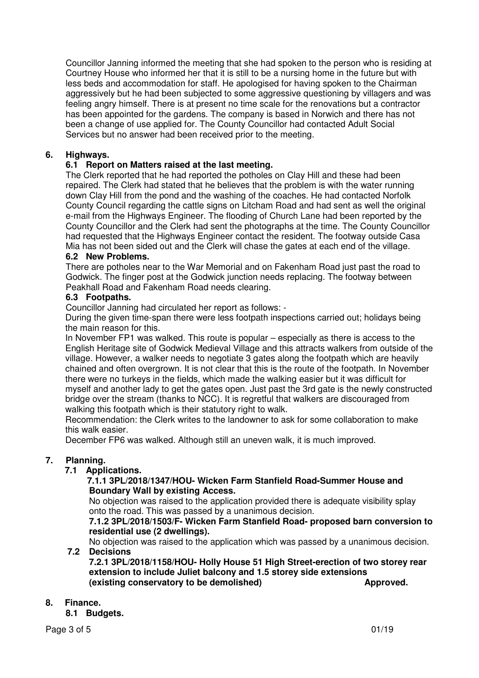Councillor Janning informed the meeting that she had spoken to the person who is residing at Courtney House who informed her that it is still to be a nursing home in the future but with less beds and accommodation for staff. He apologised for having spoken to the Chairman aggressively but he had been subjected to some aggressive questioning by villagers and was feeling angry himself. There is at present no time scale for the renovations but a contractor has been appointed for the gardens. The company is based in Norwich and there has not been a change of use applied for. The County Councillor had contacted Adult Social Services but no answer had been received prior to the meeting.

# **6. Highways.**

# **6.1 Report on Matters raised at the last meeting.**

The Clerk reported that he had reported the potholes on Clay Hill and these had been repaired. The Clerk had stated that he believes that the problem is with the water running down Clay Hill from the pond and the washing of the coaches. He had contacted Norfolk County Council regarding the cattle signs on Litcham Road and had sent as well the original e-mail from the Highways Engineer. The flooding of Church Lane had been reported by the County Councillor and the Clerk had sent the photographs at the time. The County Councillor had requested that the Highways Engineer contact the resident. The footway outside Casa Mia has not been sided out and the Clerk will chase the gates at each end of the village.

# **6.2 New Problems.**

There are potholes near to the War Memorial and on Fakenham Road just past the road to Godwick. The finger post at the Godwick junction needs replacing. The footway between Peakhall Road and Fakenham Road needs clearing.

#### **6.3 Footpaths.**

Councillor Janning had circulated her report as follows: -

 During the given time-span there were less footpath inspections carried out; holidays being the main reason for this.

 In November FP1 was walked. This route is popular – especially as there is access to the English Heritage site of Godwick Medieval Village and this attracts walkers from outside of the village. However, a walker needs to negotiate 3 gates along the footpath which are heavily chained and often overgrown. It is not clear that this is the route of the footpath. In November there were no turkeys in the fields, which made the walking easier but it was difficult for myself and another lady to get the gates open. Just past the 3rd gate is the newly constructed bridge over the stream (thanks to NCC). It is regretful that walkers are discouraged from walking this footpath which is their statutory right to walk.

 Recommendation: the Clerk writes to the landowner to ask for some collaboration to make this walk easier.

December FP6 was walked. Although still an uneven walk, it is much improved.

#### **7. Planning.**

#### **7.1 Applications.**

# **7.1.1 3PL/2018/1347/HOU- Wicken Farm Stanfield Road-Summer House and Boundary Wall by existing Access.**

No objection was raised to the application provided there is adequate visibility splay onto the road. This was passed by a unanimous decision.

#### **7.1.2 3PL/2018/1503/F- Wicken Farm Stanfield Road- proposed barn conversion to residential use (2 dwellings).**

No objection was raised to the application which was passed by a unanimous decision.  **7.2 Decisions** 

#### **7.2.1 3PL/2018/1158/HOU- Holly House 51 High Street-erection of two storey rear extension to include Juliet balcony and 1.5 storey side extensions (existing conservatory to be demolished) Approved.**

# **8. Finance.**

 **8.1 Budgets.**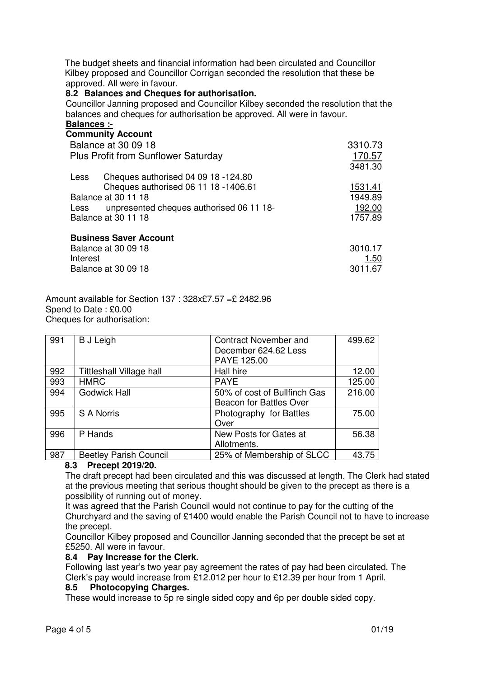The budget sheets and financial information had been circulated and Councillor Kilbey proposed and Councillor Corrigan seconded the resolution that these be approved. All were in favour.

#### **8.2 Balances and Cheques for authorisation.**

Councillor Janning proposed and Councillor Kilbey seconded the resolution that the balances and cheques for authorisation be approved. All were in favour. **Balances :-** 

#### **Community Account**

|          | <b>COMMUNIST ACCOUNT</b>                   |         |
|----------|--------------------------------------------|---------|
|          | <b>Balance at 30 09 18</b>                 | 3310.73 |
|          | <b>Plus Profit from Sunflower Saturday</b> | 170.57  |
|          |                                            | 3481.30 |
| Less     | Cheques authorised 04 09 18 -124.80        |         |
|          | Cheques authorised 06 11 18 -1406.61       | 1531.41 |
|          | Balance at 30 11 18                        | 1949.89 |
| Less     | unpresented cheques authorised 06 11 18-   | 192.00  |
|          | Balance at 30 11 18                        | 1757.89 |
|          | <b>Business Saver Account</b>              |         |
|          | Balance at 30 09 18                        | 3010.17 |
| Interest |                                            | 1.50    |

Balance at 30 09 18 3011.67

Amount available for Section 137 : 328x£7.57 =£ 2482.96 Spend to Date : £0.00 Cheques for authorisation:

| 991 | <b>B</b> J Leigh                | <b>Contract November and</b><br>December 624.62 Less<br>PAYE 125.00 | 499.62 |
|-----|---------------------------------|---------------------------------------------------------------------|--------|
| 992 | <b>Tittleshall Village hall</b> | Hall hire                                                           | 12.00  |
| 993 | <b>HMRC</b>                     | <b>PAYE</b>                                                         | 125.00 |
| 994 | <b>Godwick Hall</b>             | 50% of cost of Bullfinch Gas                                        | 216.00 |
|     |                                 | <b>Beacon for Battles Over</b>                                      |        |
| 995 | <b>S A Norris</b>               | Photography for Battles                                             | 75.00  |
|     |                                 | Over                                                                |        |
| 996 | P Hands                         | New Posts for Gates at                                              | 56.38  |
|     |                                 | Allotments.                                                         |        |
| 987 | <b>Beetley Parish Council</b>   | 25% of Membership of SLCC                                           | 43.75  |

# **8.3 Precept 2019/20.**

The draft precept had been circulated and this was discussed at length. The Clerk had stated at the previous meeting that serious thought should be given to the precept as there is a possibility of running out of money.

 It was agreed that the Parish Council would not continue to pay for the cutting of the Churchyard and the saving of £1400 would enable the Parish Council not to have to increase the precept.

 Councillor Kilbey proposed and Councillor Janning seconded that the precept be set at £5250. All were in favour.

#### **8.4 Pay Increase for the Clerk.**

Following last year's two year pay agreement the rates of pay had been circulated. The Clerk's pay would increase from £12.012 per hour to £12.39 per hour from 1 April.

#### **8.5 Photocopying Charges.**

These would increase to 5p re single sided copy and 6p per double sided copy.